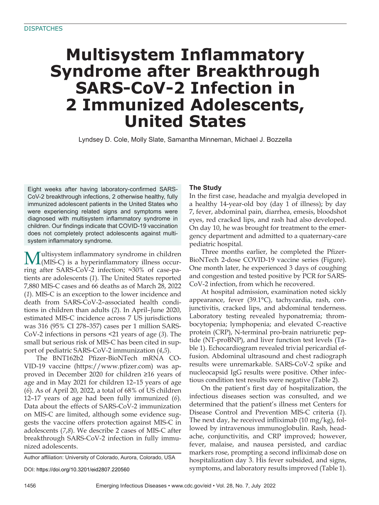# **Multisystem Inflammatory Syndrome after Breakthrough SARS-CoV-2 Infection in 2 Immunized Adolescents, United States**

Lyndsey D. Cole, Molly Slate, Samantha Minneman, Michael J. Bozzella

Eight weeks after having laboratory-confirmed SARS-CoV-2 breakthrough infections, 2 otherwise healthy, fully immunized adolescent patients in the United States who were experiencing related signs and symptoms were diagnosed with multisystem inflammatory syndrome in children. Our findings indicate that COVID-19 vaccination does not completely protect adolescents against multisystem inflammatory syndrome.

 $\mathbf{M}$ ultisystem inflammatory syndrome in children (MIS-C) is a hyperinflammatory illness occurring after SARS-CoV-2 infection; ≈30% of case-patients are adolescents (*1*). The United States reported 7,880 MIS-C cases and 66 deaths as of March 28, 2022 (*1*). MIS-C is an exception to the lower incidence and death from SARS-CoV-2–associated health conditions in children than adults (*2*). In April–June 2020, estimated MIS-C incidence across 7 US jurisdictions was 316 (95% CI 278–357) cases per 1 million SARS-CoV-2 infections in persons <21 years of age (*3*). The small but serious risk of MIS-C has been cited in support of pediatric SARS-CoV-2 immunization (*4*,*5*).

The BNT162b2 Pfizer-BioNTech mRNA CO-VID-19 vaccine (https://www.pfizer.com) was approved in December 2020 for children ≥16 years of age and in May 2021 for children 12–15 years of age (*6*). As of April 20, 2022, a total of 68% of US children 12–17 years of age had been fully immunized (*6*). Data about the effects of SARS-CoV-2 immunization on MIS-C are limited, although some evidence suggests the vaccine offers protection against MIS-C in adolescents (*7*,*8*). We describe 2 cases of MIS-C after breakthrough SARS-CoV-2 infection in fully immunized adolescents.

Author affiliation: University of Colorado, Aurora, Colorado, USA

DOI: https://doi.org/10.3201/eid2807.220560

# **The Study**

In the first case, headache and myalgia developed in a healthy 14-year-old boy (day 1 of illness); by day 7, fever, abdominal pain, diarrhea, emesis, bloodshot eyes, red cracked lips, and rash had also developed. On day 10, he was brought for treatment to the emergency department and admitted to a quaternary-care pediatric hospital.

Three months earlier, he completed the Pfizer-BioNTech 2-dose COVID-19 vaccine series (Figure). One month later, he experienced 3 days of coughing and congestion and tested positive by PCR for SARS-CoV-2 infection, from which he recovered.

At hospital admission, examination noted sickly appearance, fever (39.1°C), tachycardia, rash, conjunctivitis, cracked lips, and abdominal tenderness. Laboratory testing revealed hyponatremia; thrombocytopenia; lymphopenia; and elevated C-reactive protein (CRP), N-terminal pro-brain natriuretic peptide (NT-proBNP), and liver function test levels (Table 1). Echocardiogram revealed trivial pericardial effusion. Abdominal ultrasound and chest radiograph results were unremarkable. SARS-CoV-2 spike and nucleocapsid IgG results were positive. Other infectious condition test results were negative (Table 2).

On the patient's first day of hospitalization, the infectious diseases section was consulted, and we determined that the patient's illness met Centers for Disease Control and Prevention MIS-C criteria (*1*). The next day, he received infliximab (10 mg/kg), followed by intravenous immunoglobulin. Rash, headache, conjunctivitis, and CRP improved; however, fever, malaise, and nausea persisted, and cardiac markers rose, prompting a second infliximab dose on hospitalization day 3. His fever subsided, and signs, symptoms, and laboratory results improved (Table 1).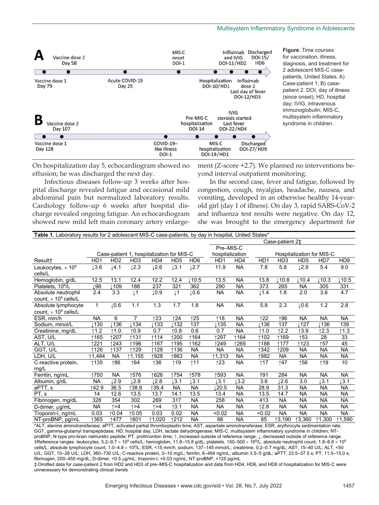

**Figure**. Time courses for vaccination, illness, diagnosis, and treatment for 2 adolescent MIS-C casepatients, United States. A) Case-patient 1; B) casepatient 2. DOI, day of illness (since onset); HD, hospital day; IVIG, intravenous immunoglobulin; MIS-C, multisystem inflammatory syndrome in children.

On hospitalization day 5, echocardiogram showed no effusion; he was discharged the next day.

Infectious diseases follow-up 3 weeks after hospital discharge revealed fatigue and occasional mild abdominal pain but normalized laboratory results. Cardiology follow-up 6 weeks after hospital discharge revealed ongoing fatigue. An echocardiogram showed new mild left main coronary artery enlargement (Z-score +2.7). We planned no interventions beyond interval outpatient monitoring.

In the second case, fever and fatigue, followed by congestion, cough, myalgias, headache, nausea, and vomiting, developed in an otherwise healthy 14-yearold girl (day 1 of illness). On day 3, rapid SARS-CoV-2 and influenza test results were negative. On day 12, she was brought to the emergency department for

| <b>Table 1.</b> Laboratory results for 2 adolescent MIS-C case-patients, by day in hospital, United States* |                 |                             |                 |                                           |                  |                             |                  |           |                      |                 |                 |                           |                 |
|-------------------------------------------------------------------------------------------------------------|-----------------|-----------------------------|-----------------|-------------------------------------------|------------------|-----------------------------|------------------|-----------|----------------------|-----------------|-----------------|---------------------------|-----------------|
|                                                                                                             |                 |                             |                 |                                           |                  |                             |                  |           |                      | Case-patient 2‡ |                 |                           |                 |
|                                                                                                             |                 |                             |                 |                                           |                  |                             | Pre-MIS-C        |           |                      |                 |                 |                           |                 |
|                                                                                                             |                 |                             |                 | Case-patient 1, hospitalization for MIS-C |                  |                             | hospitalization  |           |                      |                 |                 | Hospitalization for MIS-C |                 |
| Result+                                                                                                     | HD <sub>1</sub> | H <sub>D</sub> 2            | HD <sub>3</sub> | HD4                                       | HD <sub>5</sub>  | HD <sub>6</sub>             | H <sub>D</sub> 1 | HD4       | H <sub>D</sub> 1     | HD <sub>3</sub> | HD <sub>5</sub> | HD7                       | HD <sub>9</sub> |
| Leukocytes, $\times$ 10 <sup>9</sup>                                                                        | 13.6            | $\downarrow$ 4.1            | 12.3            | 12.6                                      | $\downarrow$ 3.1 | $\downarrow$ 2.7            | 11.9             | <b>NA</b> | 7.8                  | 5.8             | 12.9            | 5.4                       | 9.0             |
| cells/L                                                                                                     |                 |                             |                 |                                           |                  |                             |                  |           |                      |                 |                 |                           |                 |
| Hemoglobin, g/dL                                                                                            | 12.5            | 13.1                        | 12.4            | 12.2                                      | 12.4             | 110.5                       | 13.5             | <b>NA</b> | 13.8                 | 10.8            | 110.4           | 10.3                      | 110.5           |
| Platelets, 10 <sup>9</sup> /L                                                                               | Į98             | 109⊥                        | 188             | 237                                       | 321              | 362                         | 290              | <b>NA</b> | 373                  | 265             | <b>NA</b>       | 305                       | 331             |
| Absolute neutrophil                                                                                         | 2.4             | 3.3                         | $\downarrow$ 1  | 10.9                                      | $\downarrow$ 1   | 10.6                        | <b>NA</b>        | <b>NA</b> | $\downarrow$ 1.4     | 1.8             | 2.0             | 3.6                       | 4.7             |
| count, $\times$ 10 <sup>9</sup> cells/L                                                                     |                 |                             |                 |                                           |                  |                             |                  |           |                      |                 |                 |                           |                 |
| Absolute lymphocyte                                                                                         | 1               | 10.6                        | 1.1             | 1.3                                       | 1.7              | 1.8                         | <b>NA</b>        | <b>NA</b> | 5.8                  | 2.3             | 0.6             | 1.2                       | 2.8             |
| count, $\times$ 10 <sup>9</sup> cells/L                                                                     |                 |                             |                 |                                           |                  |                             |                  |           |                      |                 |                 |                           |                 |
| ESR, mm/h                                                                                                   | <b>NA</b>       | 6                           |                 | ↑23                                       | ↑24              | ↑25                         | 118              | <b>NA</b> | 122                  | ↑96             | <b>NA</b>       | <b>NA</b>                 | <b>NA</b>       |
| Sodium, mmol/L                                                                                              | ⊥130            | $\overline{\downarrow 136}$ | 134             | ⊥133                                      | 1132             | 137                         | ⊥135             | <b>NA</b> | ⊥136                 | 137             | 1127            | ⊥136                      | 139             |
| Creatinine, mg/dL                                                                                           | 11.2            | 11.0                        | ↑0.9            | 0.7                                       | 10.8             | 0.6                         | 0.7              | <b>NA</b> | 1.0                  | 12.2            | 13.9            | 12.3                      | 1.3             |
| AST, U/L                                                                                                    | ↑165            | ↑207                        | ↑131            | ↑114                                      | ↑200             | ↑164                        | ↑297             | ↑164      | ↑102                 | ↑169            | ↑53             | 28                        | 33              |
| ALT, U/L                                                                                                    | ↑221            | ↑243                        | ↑196            | ↑167                                      | ↑195             | ↑162                        | ↑249             | ↑269      | ↑188                 | ↑177            | ↑123            | 157                       | 45              |
| GGT, U/L                                                                                                    | ↑126            | ↑137                        | ↑129            | ↑128                                      | ↑136             | <b>NA</b>                   | <b>NA</b>        | <b>NA</b> | ↑342                 | ↑209            | <b>NA</b>       | <b>NA</b>                 | <b>NA</b>       |
| LDH, U/L                                                                                                    | 11,484          | <b>NA</b>                   | ↑1,155          | ↑928                                      | ↑863             | <b>NA</b>                   | ↑1,313           | <b>NA</b> | ↑982                 | <b>NA</b>       | <b>NA</b>       | <b>NA</b>                 | <b>NA</b>       |
| C-reactive protein,                                                                                         | ↑135            | ↑86                         | 164             | ↑36                                       | ↑19              | $\uparrow$ 11               | ↑23              | <b>NA</b> | $\uparrow$ 17        | $\uparrow$ 47   | 156             | $\uparrow$ 19             | 10              |
| mg/L                                                                                                        |                 |                             |                 |                                           |                  |                             |                  |           |                      |                 |                 |                           |                 |
| Ferritin, ng/mL                                                                                             | ↑750            | <b>NA</b>                   | 1576            | ↑626                                      | ↑754             | ↑578                        | ↑593             | <b>NA</b> | 191                  | 284             | <b>NA</b>       | <b>NA</b>                 | <b>NA</b>       |
| Albumin, g/dL                                                                                               | <b>NA</b>       | $\sqrt{2.9}$                | 12.8            | $\sqrt{2.8}$                              | 3.1              | 3.1                         | 3.1              | 3.2       | 3.6                  | L2.6            | 3.0             | 13.1                      | $\lfloor 3.1$   |
| aPTT, s                                                                                                     | ↑42.9           | 36.5                        | ↑38.9           | ↑39.4                                     | <b>NA</b>        | <b>NA</b>                   | .20.5            | <b>NA</b> | 28.9                 | 31.3            | <b>NA</b>       | <b>NA</b>                 | <b>NA</b>       |
| PT, s                                                                                                       | 14              | 12.6                        | 13.5            | 13.7                                      | 14.1             | 13.5                        | 13.4             | <b>NA</b> | 13.5                 | 14.7            | <b>NA</b>       | <b>NA</b>                 | <b>NA</b>       |
| Fibrinogen, mg/dL                                                                                           | 328             | 354                         | 302             | 269                                       | 317              | <b>NA</b>                   | 258              | <b>NA</b> | 413                  | <b>NA</b>       | <b>NA</b>       | <b>NA</b>                 | <b>NA</b>       |
| D-dimer, µg/mL                                                                                              | <b>NA</b>       | $\uparrow$ >4               | $\uparrow$ >4   | $\uparrow$ >4                             | 13.1             | <b>NA</b>                   | <b>NA</b>        | <b>NA</b> | 12.8                 | <b>NA</b>       | <b>NA</b>       | <b>NA</b>                 | <b>NA</b>       |
| Troponin-I, ng/mL                                                                                           | 0.03            | 10.04                       | 10.05           | 0.03                                      | 0.02             | <b>NA</b>                   | < 0.02           | <b>NA</b> | < 0.02               | <b>NA</b>       | <b>NA</b>       | <b>NA</b>                 | <b>NA</b>       |
| NT-proBNP, pg/mL                                                                                            | 1365            | ↑477<br>---                 | 1601            | 11,020                                    | ↑212             | <b>NA</b><br>$\overline{a}$ | 66               | <b>NA</b> | 85<br>$\overline{a}$ | ↑3,190          | ↑3,360          | ↑1,300                    | ↑1,590          |

\*ALT, alanine aminotransferase; aPTT, activated partial thromboplastin time; AST, aspartate aminotransferase; ESR, erythrocyte sedimentation rate; GGT, gamma-glutamyl transpeptidase; HD, hospital day; LDH, lactate dehydrogenase; MIS-C, multisystem inflammatory syndrome in children; NTproBNP, N-type pro-brain natriuretic peptide; PT, prothrombin time; ↑, increased outside of reference range; ↓, decreased outside of reference range. †Reference ranges: leukocytes, 5.2–9.7 × 10º cells/L; hemoglobin, 11.8–15.8 g/dL; platelets, 150–500 × 10º/L; absolute neutrophil count, 1.8–6.6 × 10º cells/L; absolute lymphocyte count, 1.0–4.8 × 10º/L; ESR, <15 mm/h; sodium, 137–145 mmol/L; creatinine, 0.2–0.7 mg/dL; AST, 15–40 U/L; ALT, <50 U/L; GGT, 10–28 U/L; LDH, 360–730 U/L; C-reactive protein, 0–10 mg/L; ferritin, 6–464 ng/mL; albumin 3.5–5 g/dL; aPTT, 23.5–37.5 s; PT, 11.5–15.0 s; fibrinogen, 200–450 mg/dL; D-dimer, <0.5 g/mL; troponin-I, <0.03 ng/mL; NT-proBNP, <125 pg/mL

‡ Omitted data for case-patient 2 from HD2 and HD3 of pre–MIS-C hospitalization and data from HD4, HD6, and HD8 of hospitalization for MIS-C were unnecessary for demonstrating clinical trends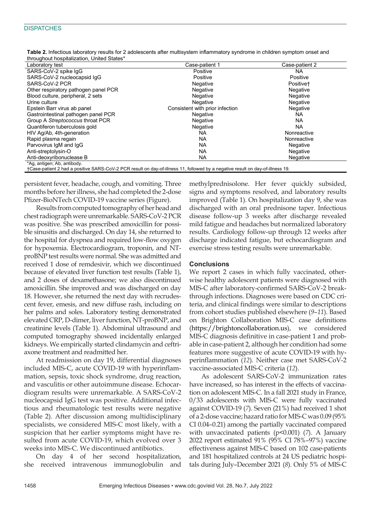### **DISPATCHES**

| Laboratory test                                                                     | Case-patient 1                                                                                                                            | Case-patient 2        |
|-------------------------------------------------------------------------------------|-------------------------------------------------------------------------------------------------------------------------------------------|-----------------------|
| SARS-CoV-2 spike IqG                                                                | Positive                                                                                                                                  | NA                    |
| SARS-CoV-2 nucleocapsid IqG                                                         | Positive                                                                                                                                  | Positive              |
| SARS-CoV-2 PCR                                                                      | Negative                                                                                                                                  | Positive <sup>+</sup> |
| Other respiratory pathogen panel PCR                                                | Negative                                                                                                                                  | Negative              |
| Blood culture, peripheral, 2 sets                                                   | Negative                                                                                                                                  | Negative              |
| Urine culture                                                                       | Negative                                                                                                                                  | Negative              |
| Epstein Barr virus ab panel                                                         | Consistent with prior infection                                                                                                           | Negative              |
| Gastrointestinal pathogen panel PCR                                                 | Negative                                                                                                                                  | NA.                   |
| Group A Streptococcus throat PCR                                                    | Negative                                                                                                                                  | <b>NA</b>             |
| Quantiferon tuberculosis gold                                                       | Negative                                                                                                                                  | <b>NA</b>             |
| HIV Ag/Ab, 4th-generation                                                           | NA.                                                                                                                                       | Nonreactive           |
| Rapid plasma regain                                                                 | <b>NA</b>                                                                                                                                 | Nonreactive           |
| Parvovirus IgM and IgG                                                              | <b>NA</b>                                                                                                                                 | Negative              |
| Anti-streptolysin-O                                                                 | <b>NA</b>                                                                                                                                 | Negative              |
| Anti-deoxyribonuclease B                                                            | <b>NA</b>                                                                                                                                 | Negative              |
| *Ag, antigen; Ab, antibody.<br>$\cdots$ $\alpha \cdot \alpha$ $\alpha \cdot \alpha$ | $\mathbf{r}$ and $\mathbf{r}$ and $\mathbf{r}$ and $\mathbf{r}$ and $\mathbf{r}$<br>$\cdots$<br>$\sim$ $\sim$ $\sim$ $\sim$ $\sim$ $\sim$ | $ -$                  |

**Table 2.** Infectious laboratory results for 2 adolescents after multisystem inflammatory syndrome in children symptom onset and throughout hospitalization, United States\*

†Case-patient 2 had a positive SARS-CoV-2 PCR result on day-of-illness 11, followed by a negative result on day-of-illness 19.

persistent fever, headache, cough, and vomiting. Three months before her illness, she had completed the 2-dose Pfizer-BioNTech COVID-19 vaccine series (Figure).

Results from computed tomography of her head and chest radiograph were unremarkable. SARS-CoV-2 PCR was positive. She was prescribed amoxicillin for possible sinusitis and discharged. On day 14, she returned to the hospital for dyspnea and required low-flow oxygen for hypoxemia. Electrocardiogram, troponin, and NTproBNP test results were normal. She was admitted and received 1 dose of remdesivir, which we discontinued because of elevated liver function test results (Table 1), and 2 doses of dexamethasone; we also discontinued amoxicillin. She improved and was discharged on day 18. However, she returned the next day with recrudescent fever, emesis, and new diffuse rash, including on her palms and soles. Laboratory testing demonstrated elevated CRP, D-dimer, liver function, NT-proBNP, and creatinine levels (Table 1). Abdominal ultrasound and computed tomography showed incidentally enlarged kidneys. We empirically started clindamycin and ceftriaxone treatment and readmitted her.

At readmission on day 19, differential diagnoses included MIS-C, acute COVID-19 with hyperinflammation, sepsis, toxic shock syndrome, drug reaction, and vasculitis or other autoimmune disease. Echocardiogram results were unremarkable. A SARS-CoV-2 nucleocapsid IgG test was positive. Additional infectious and rheumatologic test results were negative (Table 2). After discussion among multidisciplinary specialists, we considered MIS-C most likely, with a suspicion that her earlier symptoms might have resulted from acute COVID-19, which evolved over 3 weeks into MIS-C. We discontinued antibiotics.

On day 4 of her second hospitalization, she received intravenous immunoglobulin and methylprednisolone. Her fever quickly subsided, signs and symptoms resolved, and laboratory results improved (Table 1). On hospitalization day 9, she was discharged with an oral prednisone taper. Infectious disease follow-up 3 weeks after discharge revealed mild fatigue and headaches but normalized laboratory results. Cardiology follow-up through 12 weeks after discharge indicated fatigue, but echocardiogram and exercise stress testing results were unremarkable.

# **Conclusions**

We report 2 cases in which fully vaccinated, otherwise healthy adolescent patients were diagnosed with MIS-C after laboratory-confirmed SARS-CoV-2 breakthrough infections. Diagnoses were based on CDC criteria, and clinical findings were similar to descriptions from cohort studies published elsewhere (*9*–*11*). Based on Brighton Collaboration MIS-C case definitions (https://brightoncollaboration.us), we considered MIS-C diagnosis definitive in case-patient 1 and probable in case-patient 2, although her condition had some features more suggestive of acute COVID-19 with hyperinflammation (*12*). Neither case met SARS-CoV-2 vaccine-associated MIS-C criteria (*12*).

As adolescent SARS-CoV-2 immunization rates have increased, so has interest in the effects of vaccination on adolescent MIS-C. In a fall 2021 study in France, 0/33 adolescents with MIS-C were fully vaccinated against COVID-19 (*7*). Seven (21%) had received 1 shot of a 2-dose vaccine; hazard ratio for MIS-C was 0.09 (95% CI 0.04–0.21) among the partially vaccinated compared with unvaccinated patients (p<0.001) (*7*). A January 2022 report estimated 91% (95% CI 78%–97%) vaccine effectiveness against MIS-C based on 102 case-patients and 181 hospitalized controls at 24 US pediatric hospitals during July–December 2021 (*8*). Only 5% of MIS-C